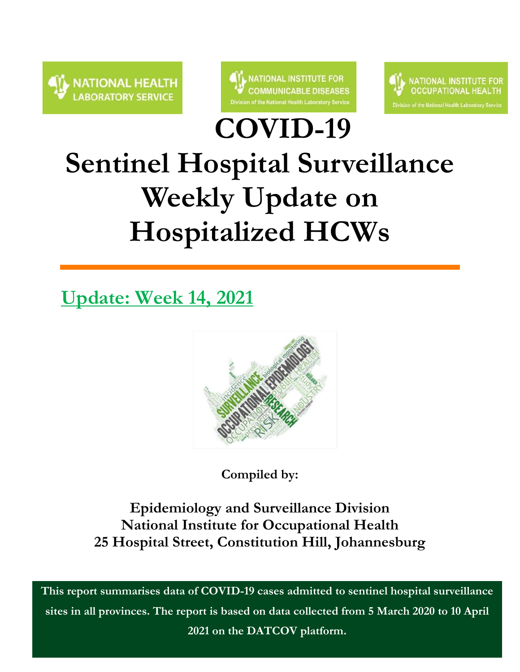



**COVID-19** 



# **Sentinel Hospital Surveillance Weekly Update on Hospitalized HCWs**

**Update: Week 14, 2021**



**Compiled by:**

**Epidemiology and Surveillance Division National Institute for Occupational Health 25 Hospital Street, Constitution Hill, Johannesburg**

**This report summarises data of COVID-19 cases admitted to sentinel hospital surveillance sites in all provinces. The report is based on data collected from 5 March 2020 to 10 April 2021 on the DATCOV platform.**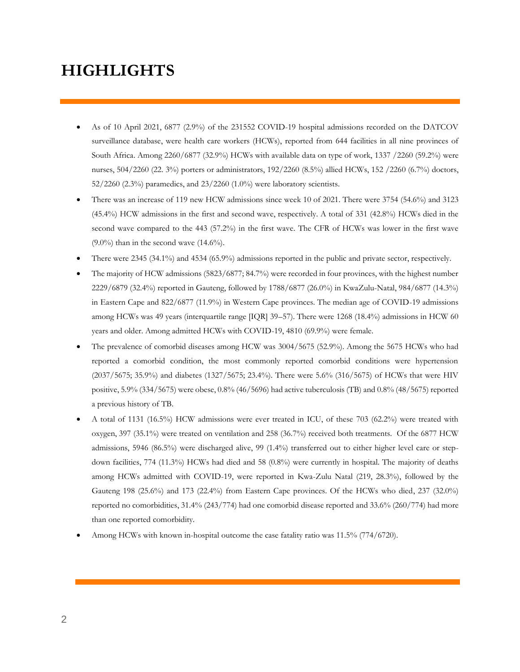### **HIGHLIGHTS**

- As of 10 April 2021, 6877 (2.9%) of the 231552 COVID-19 hospital admissions recorded on the DATCOV surveillance database, were health care workers (HCWs), reported from 644 facilities in all nine provinces of South Africa. Among 2260/6877 (32.9%) HCWs with available data on type of work, 1337 /2260 (59.2%) were nurses, 504/2260 (22. 3%) porters or administrators, 192/2260 (8.5%) allied HCWs, 152 /2260 (6.7%) doctors, 52/2260 (2.3%) paramedics, and 23/2260 (1.0%) were laboratory scientists.
- There was an increase of 119 new HCW admissions since week 10 of 2021. There were 3754 (54.6%) and 3123 (45.4%) HCW admissions in the first and second wave, respectively. A total of 331 (42.8%) HCWs died in the second wave compared to the 443 (57.2%) in the first wave. The CFR of HCWs was lower in the first wave  $(9.0\%)$  than in the second wave  $(14.6\%)$ .
- There were 2345 (34.1%) and 4534 (65.9%) admissions reported in the public and private sector, respectively.
- The majority of HCW admissions (5823/6877; 84.7%) were recorded in four provinces, with the highest number 2229/6879 (32.4%) reported in Gauteng, followed by 1788/6877 (26.0%) in KwaZulu-Natal, 984/6877 (14.3%) in Eastern Cape and 822/6877 (11.9%) in Western Cape provinces. The median age of COVID-19 admissions among HCWs was 49 years (interquartile range [IQR] 39–57). There were 1268 (18.4%) admissions in HCW 60 years and older. Among admitted HCWs with COVID-19, 4810 (69.9%) were female.
- The prevalence of comorbid diseases among HCW was 3004/5675 (52.9%). Among the 5675 HCWs who had reported a comorbid condition, the most commonly reported comorbid conditions were hypertension (2037/5675; 35.9%) and diabetes (1327/5675; 23.4%). There were 5.6% (316/5675) of HCWs that were HIV positive, 5.9% (334/5675) were obese, 0.8% (46/5696) had active tuberculosis (TB) and 0.8% (48/5675) reported a previous history of TB.
- A total of 1131 (16.5%) HCW admissions were ever treated in ICU, of these 703 (62.2%) were treated with oxygen, 397 (35.1%) were treated on ventilation and 258 (36.7%) received both treatments. Of the 6877 HCW admissions, 5946 (86.5%) were discharged alive, 99 (1.4%) transferred out to either higher level care or stepdown facilities, 774 (11.3%) HCWs had died and 58 (0.8%) were currently in hospital. The majority of deaths among HCWs admitted with COVID-19, were reported in Kwa-Zulu Natal (219, 28.3%), followed by the Gauteng 198 (25.6%) and 173 (22.4%) from Eastern Cape provinces. Of the HCWs who died, 237 (32.0%) reported no comorbidities, 31.4% (243/774) had one comorbid disease reported and 33.6% (260/774) had more than one reported comorbidity.
- Among HCWs with known in-hospital outcome the case fatality ratio was 11.5% (774/6720).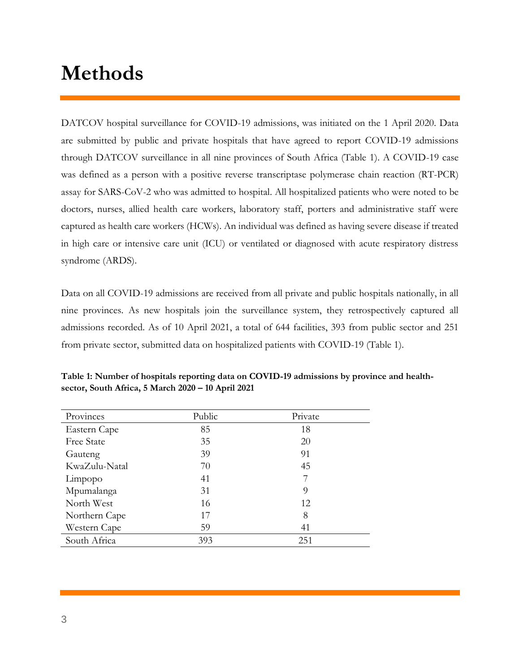### **Methods**

DATCOV hospital surveillance for COVID-19 admissions, was initiated on the 1 April 2020. Data are submitted by public and private hospitals that have agreed to report COVID-19 admissions through DATCOV surveillance in all nine provinces of South Africa (Table 1). A COVID-19 case was defined as a person with a positive reverse transcriptase polymerase chain reaction (RT-PCR) assay for SARS-CoV-2 who was admitted to hospital. All hospitalized patients who were noted to be doctors, nurses, allied health care workers, laboratory staff, porters and administrative staff were captured as health care workers (HCWs). An individual was defined as having severe disease if treated in high care or intensive care unit (ICU) or ventilated or diagnosed with acute respiratory distress syndrome (ARDS).

Data on all COVID-19 admissions are received from all private and public hospitals nationally, in all nine provinces. As new hospitals join the surveillance system, they retrospectively captured all admissions recorded. As of 10 April 2021, a total of 644 facilities, 393 from public sector and 251 from private sector, submitted data on hospitalized patients with COVID-19 (Table 1).

| Provinces     | Public | Private |  |
|---------------|--------|---------|--|
| Eastern Cape  | 85     | 18      |  |
| Free State    | 35     | 20      |  |
| Gauteng       | 39     | 91      |  |
| KwaZulu-Natal | 70     | 45      |  |
| Limpopo       | 41     | 7       |  |
| Mpumalanga    | 31     | 9       |  |
| North West    | 16     | 12      |  |
| Northern Cape | 17     | 8       |  |
| Western Cape  | 59     | 41      |  |
| South Africa  | 393    | 251     |  |

**Table 1: Number of hospitals reporting data on COVID-19 admissions by province and healthsector, South Africa, 5 March 2020 – 10 April 2021**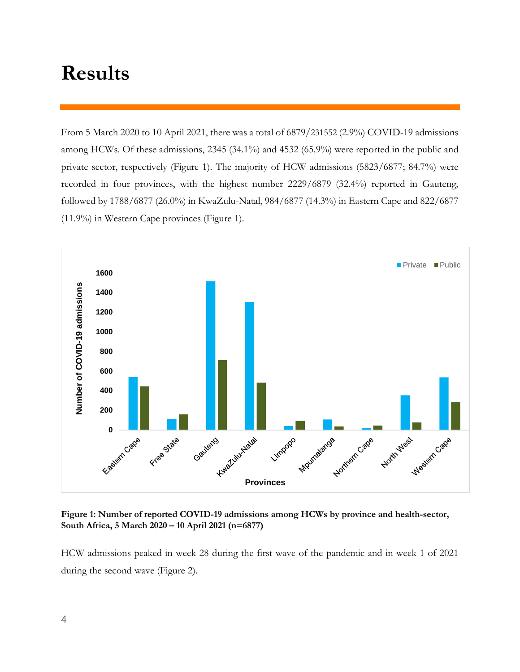### **Results**

From 5 March 2020 to 10 April 2021, there was a total of 6879/231552 (2.9%) COVID-19 admissions among HCWs. Of these admissions, 2345 (34.1%) and 4532 (65.9%) were reported in the public and private sector, respectively (Figure 1). The majority of HCW admissions (5823/6877; 84.7%) were recorded in four provinces, with the highest number 2229/6879 (32.4%) reported in Gauteng, followed by 1788/6877 (26.0%) in KwaZulu-Natal, 984/6877 (14.3%) in Eastern Cape and 822/6877 (11.9%) in Western Cape provinces (Figure 1).



**Figure 1: Number of reported COVID-19 admissions among HCWs by province and health-sector, South Africa, 5 March 2020 – 10 April 2021 (n=6877)**

HCW admissions peaked in week 28 during the first wave of the pandemic and in week 1 of 2021 during the second wave (Figure 2).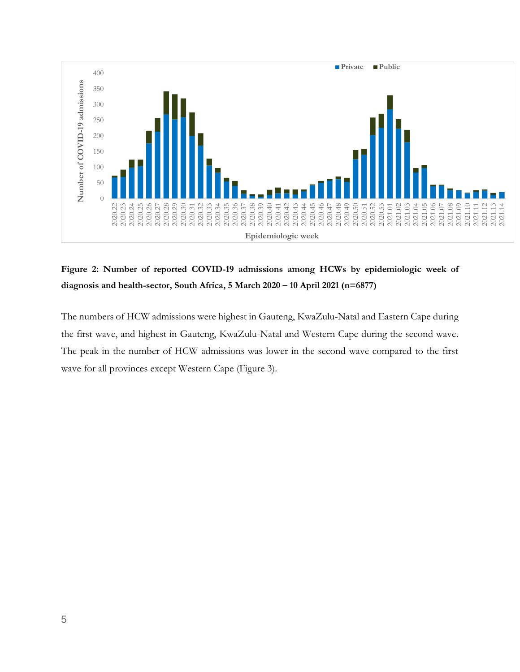

**Figure 2: Number of reported COVID-19 admissions among HCWs by epidemiologic week of diagnosis and health-sector, South Africa, 5 March 2020 – 10 April 2021 (n=6877)**

The numbers of HCW admissions were highest in Gauteng, KwaZulu-Natal and Eastern Cape during the first wave, and highest in Gauteng, KwaZulu-Natal and Western Cape during the second wave. The peak in the number of HCW admissions was lower in the second wave compared to the first wave for all provinces except Western Cape (Figure 3).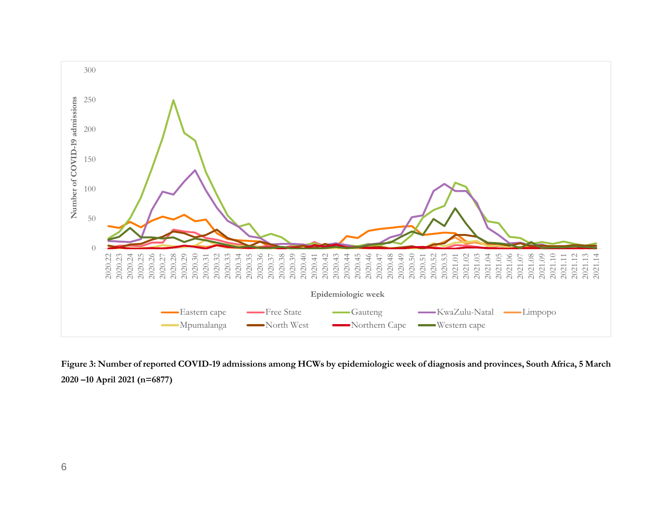

**Figure 3: Number of reported COVID-19 admissions among HCWs by epidemiologic week of diagnosis and provinces, South Africa, 5 March 2020 –10 April 2021 (n=6877)**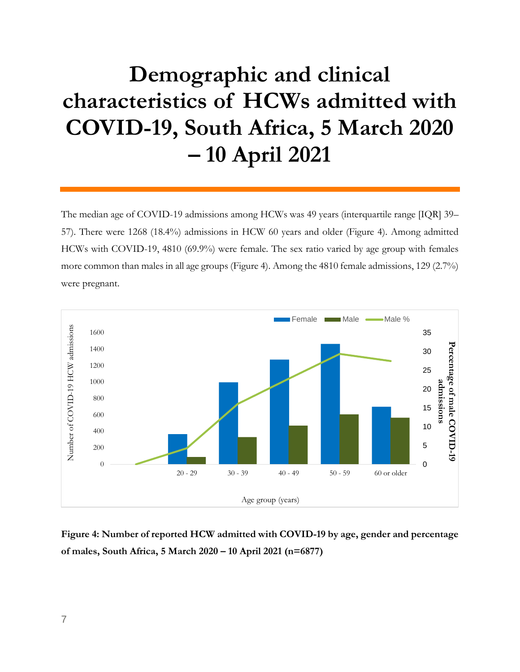## **Demographic and clinical characteristics of HCWs admitted with COVID-19, South Africa, 5 March 2020 – 10 April 2021**

The median age of COVID-19 admissions among HCWs was 49 years (interquartile range [IQR] 39– 57). There were 1268 (18.4%) admissions in HCW 60 years and older (Figure 4). Among admitted HCWs with COVID-19, 4810 (69.9%) were female. The sex ratio varied by age group with females more common than males in all age groups (Figure 4). Among the 4810 female admissions, 129 (2.7%) were pregnant.



**Figure 4: Number of reported HCW admitted with COVID-19 by age, gender and percentage of males, South Africa, 5 March 2020 – 10 April 2021 (n=6877)**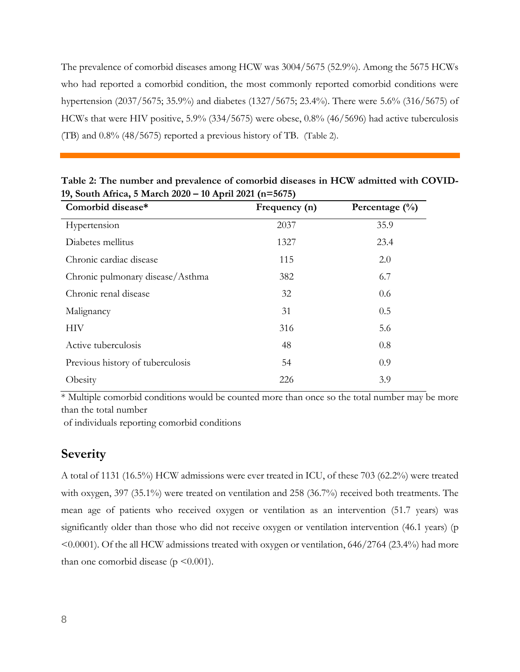The prevalence of comorbid diseases among HCW was 3004/5675 (52.9%). Among the 5675 HCWs who had reported a comorbid condition, the most commonly reported comorbid conditions were hypertension (2037/5675; 35.9%) and diabetes (1327/5675; 23.4%). There were 5.6% (316/5675) of HCWs that were HIV positive, 5.9% (334/5675) were obese, 0.8% (46/5696) had active tuberculosis (TB) and 0.8% (48/5675) reported a previous history of TB. (Table 2).

| Comorbid disease*                | Frequency (n) | Percentage $(\% )$ |
|----------------------------------|---------------|--------------------|
| Hypertension                     | 2037          | 35.9               |
| Diabetes mellitus                | 1327          | 23.4               |
| Chronic cardiac disease          | 115           | 2.0                |
| Chronic pulmonary disease/Asthma | 382           | 6.7                |
| Chronic renal disease            | 32            | 0.6                |
| Malignancy                       | 31            | 0.5                |
| НIV                              | 316           | 5.6                |
| Active tuberculosis              | 48            | 0.8                |
| Previous history of tuberculosis | 54            | 0.9                |
| Obesity                          | 226           | 3.9                |

**Table 2: The number and prevalence of comorbid diseases in HCW admitted with COVID-19, South Africa, 5 March 2020 – 10 April 2021 (n=5675)** 

 $*$  Multiple comorbid conditions would be counted more than once so the total number may be more than the total number

of individuals reporting comorbid conditions

#### **Severity**

A total of 1131 (16.5%) HCW admissions were ever treated in ICU, of these 703 (62.2%) were treated with oxygen, 397 (35.1%) were treated on ventilation and 258 (36.7%) received both treatments. The mean age of patients who received oxygen or ventilation as an intervention (51.7 years) was significantly older than those who did not receive oxygen or ventilation intervention (46.1 years) (p <0.0001). Of the all HCW admissions treated with oxygen or ventilation, 646/2764 (23.4%) had more than one comorbid disease ( $p \le 0.001$ ).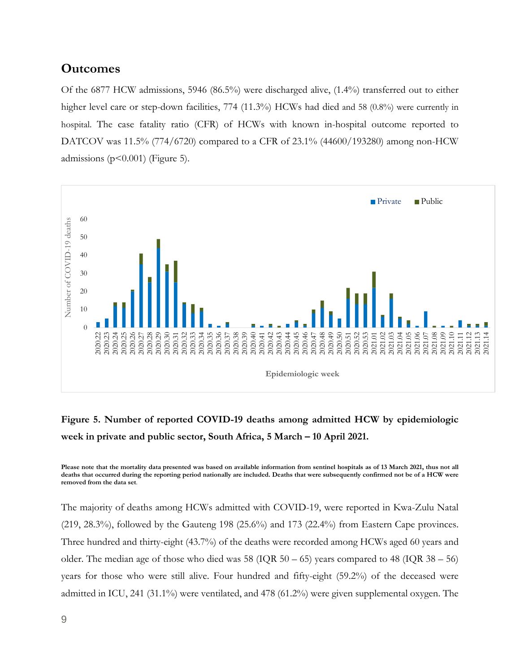#### **Outcomes**

Of the 6877 HCW admissions, 5946 (86.5%) were discharged alive, (1.4%) transferred out to either higher level care or step-down facilities, 774 (11.3%) HCWs had died and 58 (0.8%) were currently in hospital. The case fatality ratio (CFR) of HCWs with known in-hospital outcome reported to DATCOV was 11.5% (774/6720) compared to a CFR of 23.1% (44600/193280) among non-HCW admissions ( $p$ <0.001) (Figure 5).



#### **Figure 5. Number of reported COVID-19 deaths among admitted HCW by epidemiologic week in private and public sector, South Africa, 5 March – 10 April 2021.**

**Please note that the mortality data presented was based on available information from sentinel hospitals as of 13 March 2021, thus not all deaths that occurred during the reporting period nationally are included. Deaths that were subsequently confirmed not be of a HCW were removed from the data set**.

The majority of deaths among HCWs admitted with COVID-19, were reported in Kwa-Zulu Natal  $(219, 28.3\%)$ , followed by the Gauteng 198  $(25.6\%)$  and 173  $(22.4\%)$  from Eastern Cape provinces. Three hundred and thirty-eight (43.7%) of the deaths were recorded among HCWs aged 60 years and older. The median age of those who died was  $58 \text{ (IQR } 50 - 65)$  years compared to  $48 \text{ (IQR } 38 - 56)$ years for those who were still alive. Four hundred and fifty-eight (59.2%) of the deceased were admitted in ICU, 241 (31.1%) were ventilated, and 478 (61.2%) were given supplemental oxygen. The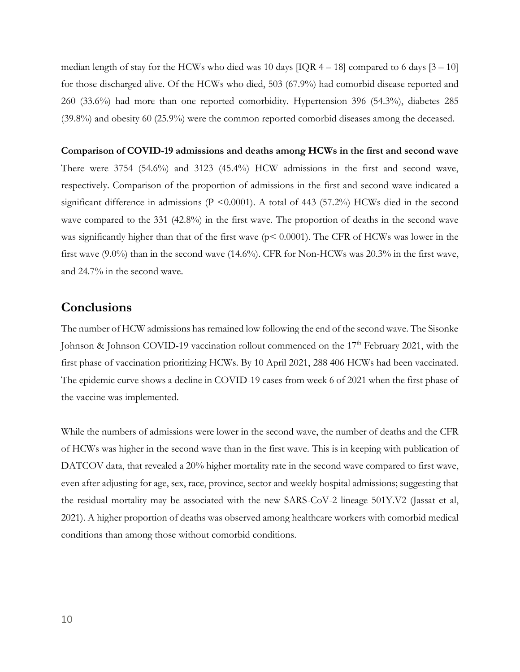median length of stay for the HCWs who died was 10 days  $[IQR 4 - 18]$  compared to 6 days  $[3 - 10]$ for those discharged alive. Of the HCWs who died, 503 (67.9%) had comorbid disease reported and 260 (33.6%) had more than one reported comorbidity. Hypertension 396 (54.3%), diabetes 285 (39.8%) and obesity 60 (25.9%) were the common reported comorbid diseases among the deceased.

**Comparison of COVID-19 admissions and deaths among HCWs in the first and second wave** There were 3754 (54.6%) and 3123 (45.4%) HCW admissions in the first and second wave, respectively. Comparison of the proportion of admissions in the first and second wave indicated a significant difference in admissions (P <0.0001). A total of 443 (57.2%) HCWs died in the second wave compared to the 331 (42.8%) in the first wave. The proportion of deaths in the second wave was significantly higher than that of the first wave ( $p < 0.0001$ ). The CFR of HCWs was lower in the first wave (9.0%) than in the second wave (14.6%). CFR for Non-HCWs was 20.3% in the first wave, and 24.7% in the second wave.

#### **Conclusions**

The number of HCW admissions has remained low following the end of the second wave. The Sisonke Johnson & Johnson COVID-19 vaccination rollout commenced on the  $17<sup>th</sup>$  February 2021, with the first phase of vaccination prioritizing HCWs. By 10 April 2021, 288 406 HCWs had been vaccinated. The epidemic curve shows a decline in COVID-19 cases from week 6 of 2021 when the first phase of the vaccine was implemented.

While the numbers of admissions were lower in the second wave, the number of deaths and the CFR of HCWs was higher in the second wave than in the first wave. This is in keeping with publication of DATCOV data, that revealed a 20% higher mortality rate in the second wave compared to first wave, even after adjusting for age, sex, race, province, sector and weekly hospital admissions; suggesting that the residual mortality may be associated with the new SARS-CoV-2 lineage 501Y.V2 (Jassat et al, 2021). A higher proportion of deaths was observed among healthcare workers with comorbid medical conditions than among those without comorbid conditions.